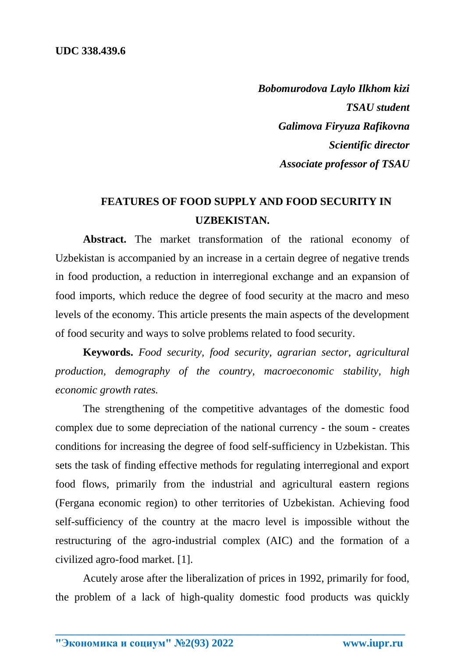*Bobomurodova Laylo Ilkhom kizi TSAU student Galimova Firyuza Rafikovna Scientific director Associate professor of TSAU*

## **FEATURES OF FOOD SUPPLY AND FOOD SECURITY IN UZBEKISTAN.**

**Abstract.** The market transformation of the rational economy of Uzbekistan is accompanied by an increase in a certain degree of negative trends in food production, a reduction in interregional exchange and an expansion of food imports, which reduce the degree of food security at the macro and meso levels of the economy. This article presents the main aspects of the development of food security and ways to solve problems related to food security.

**Keywords.** *Food security, food security, agrarian sector, agricultural production, demography of the country, macroeconomic stability, high economic growth rates.*

The strengthening of the competitive advantages of the domestic food complex due to some depreciation of the national currency - the soum - creates conditions for increasing the degree of food self-sufficiency in Uzbekistan. This sets the task of finding effective methods for regulating interregional and export food flows, primarily from the industrial and agricultural eastern regions (Fergana economic region) to other territories of Uzbekistan. Achieving food self-sufficiency of the country at the macro level is impossible without the restructuring of the agro-industrial complex (AIC) and the formation of a civilized agro-food market. [1].

Acutely arose after the liberalization of prices in 1992, primarily for food, the problem of a lack of high-quality domestic food products was quickly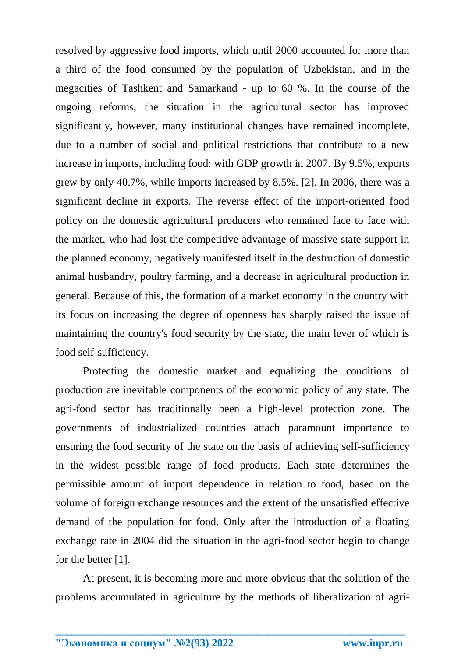resolved by aggressive food imports, which until 2000 accounted for more than a third of the food consumed by the population of Uzbekistan, and in the megacities of Tashkent and Samarkand - up to 60 %. In the course of the ongoing reforms, the situation in the agricultural sector has improved significantly, however, many institutional changes have remained incomplete, due to a number of social and political restrictions that contribute to a new increase in imports, including food: with GDP growth in 2007. By 9.5%, exports grew by only 40.7%, while imports increased by 8.5%. [2]. In 2006, there was a significant decline in exports. The reverse effect of the import-oriented food policy on the domestic agricultural producers who remained face to face with the market, who had lost the competitive advantage of massive state support in the planned economy, negatively manifested itself in the destruction of domestic animal husbandry, poultry farming, and a decrease in agricultural production in general. Because of this, the formation of a market economy in the country with its focus on increasing the degree of openness has sharply raised the issue of maintaining the country's food security by the state, the main lever of which is food self-sufficiency.

Protecting the domestic market and equalizing the conditions of production are inevitable components of the economic policy of any state. The agri-food sector has traditionally been a high-level protection zone. The governments of industrialized countries attach paramount importance to ensuring the food security of the state on the basis of achieving self-sufficiency in the widest possible range of food products. Each state determines the permissible amount of import dependence in relation to food, based on the volume of foreign exchange resources and the extent of the unsatisfied effective demand of the population for food. Only after the introduction of a floating exchange rate in 2004 did the situation in the agri-food sector begin to change for the better [1].

At present, it is becoming more and more obvious that the solution of the problems accumulated in agriculture by the methods of liberalization of agri-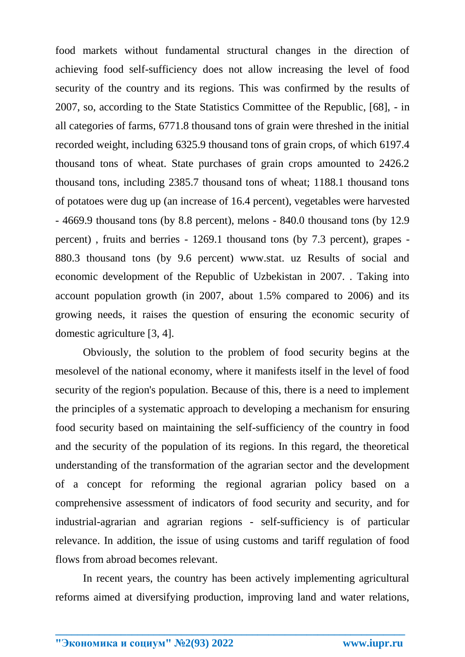food markets without fundamental structural changes in the direction of achieving food self-sufficiency does not allow increasing the level of food security of the country and its regions. This was confirmed by the results of 2007, so, according to the State Statistics Committee of the Republic, [68], - in all categories of farms, 6771.8 thousand tons of grain were threshed in the initial recorded weight, including 6325.9 thousand tons of grain crops, of which 6197.4 thousand tons of wheat. State purchases of grain crops amounted to 2426.2 thousand tons, including 2385.7 thousand tons of wheat; 1188.1 thousand tons of potatoes were dug up (an increase of 16.4 percent), vegetables were harvested - 4669.9 thousand tons (by 8.8 percent), melons - 840.0 thousand tons (by 12.9 percent) , fruits and berries - 1269.1 thousand tons (by 7.3 percent), grapes - 880.3 thousand tons (by 9.6 percent) www.stat. uz Results of social and economic development of the Republic of Uzbekistan in 2007. . Taking into account population growth (in 2007, about 1.5% compared to 2006) and its growing needs, it raises the question of ensuring the economic security of domestic agriculture [3, 4].

Obviously, the solution to the problem of food security begins at the mesolevel of the national economy, where it manifests itself in the level of food security of the region's population. Because of this, there is a need to implement the principles of a systematic approach to developing a mechanism for ensuring food security based on maintaining the self-sufficiency of the country in food and the security of the population of its regions. In this regard, the theoretical understanding of the transformation of the agrarian sector and the development of a concept for reforming the regional agrarian policy based on a comprehensive assessment of indicators of food security and security, and for industrial-agrarian and agrarian regions - self-sufficiency is of particular relevance. In addition, the issue of using customs and tariff regulation of food flows from abroad becomes relevant.

In recent years, the country has been actively implementing agricultural reforms aimed at diversifying production, improving land and water relations,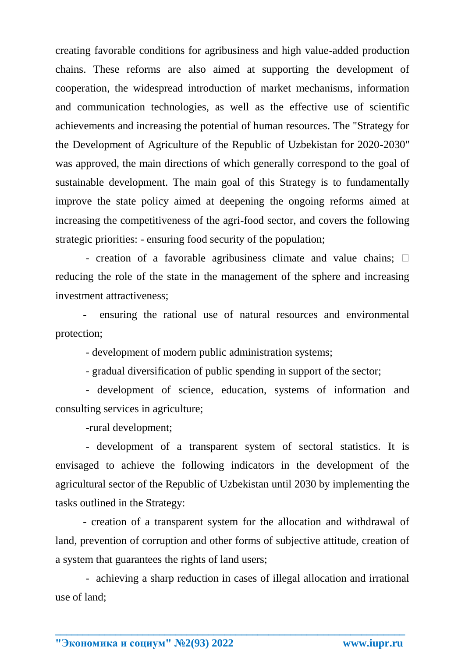creating favorable conditions for agribusiness and high value-added production chains. These reforms are also aimed at supporting the development of cooperation, the widespread introduction of market mechanisms, information and communication technologies, as well as the effective use of scientific achievements and increasing the potential of human resources. The "Strategy for the Development of Agriculture of the Republic of Uzbekistan for 2020-2030" was approved, the main directions of which generally correspond to the goal of sustainable development. The main goal of this Strategy is to fundamentally improve the state policy aimed at deepening the ongoing reforms aimed at increasing the competitiveness of the agri-food sector, and covers the following strategic priorities: - ensuring food security of the population;

- creation of a favorable agribusiness climate and value chains;  $\Box$ reducing the role of the state in the management of the sphere and increasing investment attractiveness;

- ensuring the rational use of natural resources and environmental protection;

- development of modern public administration systems;

- gradual diversification of public spending in support of the sector;

- development of science, education, systems of information and consulting services in agriculture;

-rural development;

- development of a transparent system of sectoral statistics. It is envisaged to achieve the following indicators in the development of the agricultural sector of the Republic of Uzbekistan until 2030 by implementing the tasks outlined in the Strategy:

- creation of a transparent system for the allocation and withdrawal of land, prevention of corruption and other forms of subjective attitude, creation of a system that guarantees the rights of land users;

- achieving a sharp reduction in cases of illegal allocation and irrational use of land;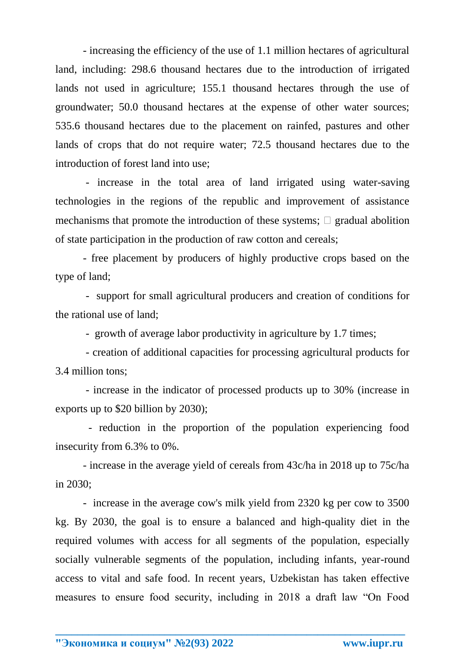- increasing the efficiency of the use of 1.1 million hectares of agricultural land, including: 298.6 thousand hectares due to the introduction of irrigated lands not used in agriculture; 155.1 thousand hectares through the use of groundwater; 50.0 thousand hectares at the expense of other water sources; 535.6 thousand hectares due to the placement on rainfed, pastures and other lands of crops that do not require water; 72.5 thousand hectares due to the introduction of forest land into use;

- increase in the total area of land irrigated using water-saving technologies in the regions of the republic and improvement of assistance mechanisms that promote the introduction of these systems;  $\Box$  gradual abolition of state participation in the production of raw cotton and cereals;

- free placement by producers of highly productive crops based on the type of land;

- support for small agricultural producers and creation of conditions for the rational use of land;

- growth of average labor productivity in agriculture by 1.7 times;

- creation of additional capacities for processing agricultural products for 3.4 million tons;

- increase in the indicator of processed products up to 30% (increase in exports up to \$20 billion by 2030);

- reduction in the proportion of the population experiencing food insecurity from 6.3% to 0%.

- increase in the average yield of cereals from 43c/ha in 2018 up to 75c/ha in 2030;

- increase in the average cow's milk yield from 2320 kg per cow to 3500 kg. By 2030, the goal is to ensure a balanced and high-quality diet in the required volumes with access for all segments of the population, especially socially vulnerable segments of the population, including infants, year-round access to vital and safe food. In recent years, Uzbekistan has taken effective measures to ensure food security, including in 2018 a draft law "On Food